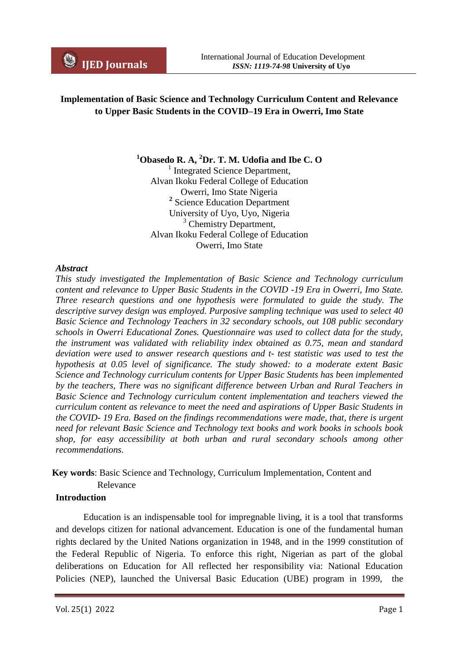# **Implementation of Basic Science and Technology Curriculum Content and Relevance to Upper Basic Students in the COVID–19 Era in Owerri, Imo State**

**<sup>1</sup>Obasedo R. A, <sup>2</sup>Dr. T. M. Udofia and Ibe C. O**

<sup>1</sup> Integrated Science Department, Alvan Ikoku Federal College of Education Owerri, Imo State Nigeria **2** Science Education Department University of Uyo, Uyo, Nigeria <sup>3</sup> Chemistry Department, Alvan Ikoku Federal College of Education Owerri, Imo State

#### *Abstract*

*This study investigated the Implementation of Basic Science and Technology curriculum content and relevance to Upper Basic Students in the COVID -19 Era in Owerri, Imo State. Three research questions and one hypothesis were formulated to guide the study. The descriptive survey design was employed. Purposive sampling technique was used to select 40 Basic Science and Technology Teachers in 32 secondary schools, out 108 public secondary schools in Owerri Educational Zones. Questionnaire was used to collect data for the study, the instrument was validated with reliability index obtained as 0.75, mean and standard deviation were used to answer research questions and t- test statistic was used to test the hypothesis at 0.05 level of significance. The study showed: to a moderate extent Basic Science and Technology curriculum contents for Upper Basic Students has been implemented by the teachers, There was no significant difference between Urban and Rural Teachers in Basic Science and Technology curriculum content implementation and teachers viewed the curriculum content as relevance to meet the need and aspirations of Upper Basic Students in the COVID- 19 Era. Based on the findings recommendations were made, that, there is urgent need for relevant Basic Science and Technology text books and work books in schools book shop, for easy accessibility at both urban and rural secondary schools among other recommendations.*

### **Key words**: Basic Science and Technology, Curriculum Implementation, Content and Relevance

#### **Introduction**

Education is an indispensable tool for impregnable living, it is a tool that transforms and develops citizen for national advancement. Education is one of the fundamental human rights declared by the United Nations organization in 1948, and in the 1999 constitution of the Federal Republic of Nigeria. To enforce this right, Nigerian as part of the global deliberations on Education for All reflected her responsibility via: National Education Policies (NEP), launched the Universal Basic Education (UBE) program in 1999, the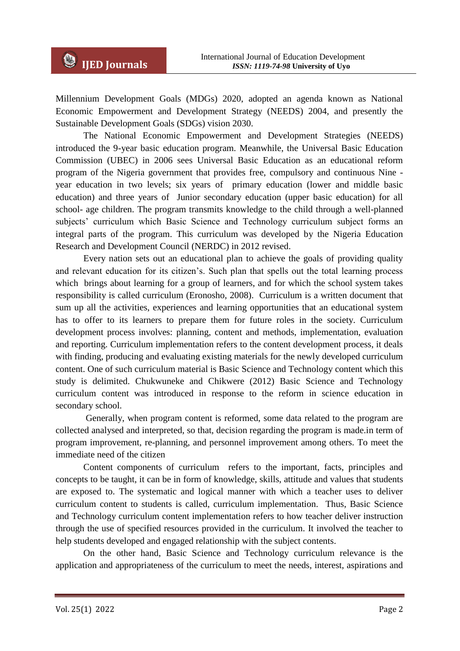Millennium Development Goals (MDGs) 2020, adopted an agenda known as National Economic Empowerment and Development Strategy (NEEDS) 2004, and presently the Sustainable Development Goals (SDGs) vision 2030.

The National Economic Empowerment and Development Strategies (NEEDS) introduced the 9-year basic education program. Meanwhile, the Universal Basic Education Commission (UBEC) in 2006 sees Universal Basic Education as an educational reform program of the Nigeria government that provides free, compulsory and continuous Nine year education in two levels; six years of primary education (lower and middle basic education) and three years of Junior secondary education (upper basic education) for all school- age children. The program transmits knowledge to the child through a well-planned subjects' curriculum which Basic Science and Technology curriculum subject forms an integral parts of the program. This curriculum was developed by the Nigeria Education Research and Development Council (NERDC) in 2012 revised.

Every nation sets out an educational plan to achieve the goals of providing quality and relevant education for its citizen's. Such plan that spells out the total learning process which brings about learning for a group of learners, and for which the school system takes responsibility is called curriculum (Eronosho, 2008). Curriculum is a written document that sum up all the activities, experiences and learning opportunities that an educational system has to offer to its learners to prepare them for future roles in the society. Curriculum development process involves: planning, content and methods, implementation, evaluation and reporting. Curriculum implementation refers to the content development process, it deals with finding, producing and evaluating existing materials for the newly developed curriculum content. One of such curriculum material is Basic Science and Technology content which this study is delimited. Chukwuneke and Chikwere (2012) Basic Science and Technology curriculum content was introduced in response to the reform in science education in secondary school.

Generally, when program content is reformed, some data related to the program are collected analysed and interpreted, so that, decision regarding the program is made.in term of program improvement, re-planning, and personnel improvement among others. To meet the immediate need of the citizen

Content components of curriculum refers to the important, facts, principles and concepts to be taught, it can be in form of knowledge, skills, attitude and values that students are exposed to. The systematic and logical manner with which a teacher uses to deliver curriculum content to students is called, curriculum implementation. Thus, Basic Science and Technology curriculum content implementation refers to how teacher deliver instruction through the use of specified resources provided in the curriculum. It involved the teacher to help students developed and engaged relationship with the subject contents.

On the other hand, Basic Science and Technology curriculum relevance is the application and appropriateness of the curriculum to meet the needs, interest, aspirations and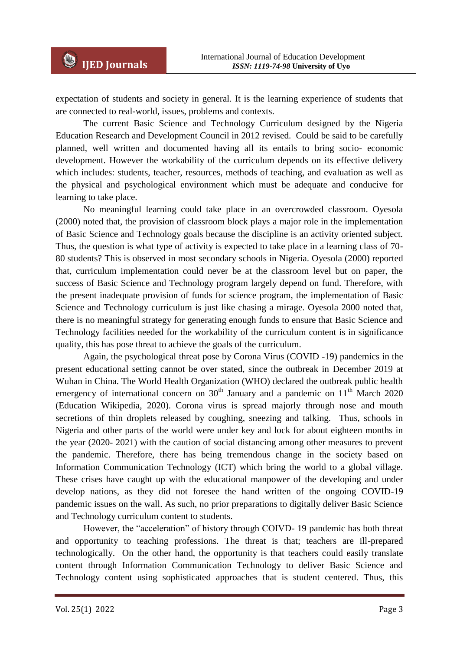expectation of students and society in general. It is the learning experience of students that are connected to real-world, issues, problems and contexts.

The current Basic Science and Technology Curriculum designed by the Nigeria Education Research and Development Council in 2012 revised. Could be said to be carefully planned, well written and documented having all its entails to bring socio- economic development. However the workability of the curriculum depends on its effective delivery which includes: students, teacher, resources, methods of teaching, and evaluation as well as the physical and psychological environment which must be adequate and conducive for learning to take place.

No meaningful learning could take place in an overcrowded classroom. Oyesola (2000) noted that, the provision of classroom block plays a major role in the implementation of Basic Science and Technology goals because the discipline is an activity oriented subject. Thus, the question is what type of activity is expected to take place in a learning class of 70- 80 students? This is observed in most secondary schools in Nigeria. Oyesola (2000) reported that, curriculum implementation could never be at the classroom level but on paper, the success of Basic Science and Technology program largely depend on fund. Therefore, with the present inadequate provision of funds for science program, the implementation of Basic Science and Technology curriculum is just like chasing a mirage. Oyesola 2000 noted that, there is no meaningful strategy for generating enough funds to ensure that Basic Science and Technology facilities needed for the workability of the curriculum content is in significance quality, this has pose threat to achieve the goals of the curriculum.

Again, the psychological threat pose by Corona Virus (COVID -19) pandemics in the present educational setting cannot be over stated, since the outbreak in December 2019 at Wuhan in China. The World Health Organization (WHO) declared the outbreak public health emergency of international concern on  $30<sup>th</sup>$  January and a pandemic on  $11<sup>th</sup>$  March 2020 (Education Wikipedia, 2020). Corona virus is spread majorly through nose and mouth secretions of thin droplets released by coughing, sneezing and talking. Thus, schools in Nigeria and other parts of the world were under key and lock for about eighteen months in the year (2020- 2021) with the caution of social distancing among other measures to prevent the pandemic. Therefore, there has being tremendous change in the society based on Information Communication Technology (ICT) which bring the world to a global village. These crises have caught up with the educational manpower of the developing and under develop nations, as they did not foresee the hand written of the ongoing COVID-19 pandemic issues on the wall. As such, no prior preparations to digitally deliver Basic Science and Technology curriculum content to students.

However, the "acceleration" of history through COIVD- 19 pandemic has both threat and opportunity to teaching professions. The threat is that; teachers are ill-prepared technologically. On the other hand, the opportunity is that teachers could easily translate content through Information Communication Technology to deliver Basic Science and Technology content using sophisticated approaches that is student centered. Thus, this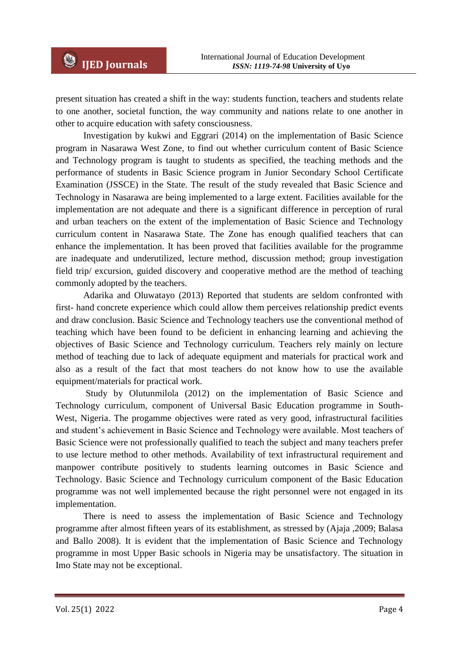present situation has created a shift in the way: students function, teachers and students relate to one another, societal function, the way community and nations relate to one another in other to acquire education with safety consciousness.

Investigation by kukwi and Eggrari (2014) on the implementation of Basic Science program in Nasarawa West Zone, to find out whether curriculum content of Basic Science and Technology program is taught to students as specified, the teaching methods and the performance of students in Basic Science program in Junior Secondary School Certificate Examination (JSSCE) in the State. The result of the study revealed that Basic Science and Technology in Nasarawa are being implemented to a large extent. Facilities available for the implementation are not adequate and there is a significant difference in perception of rural and urban teachers on the extent of the implementation of Basic Science and Technology curriculum content in Nasarawa State. The Zone has enough qualified teachers that can enhance the implementation. It has been proved that facilities available for the programme are inadequate and underutilized, lecture method, discussion method; group investigation field trip/ excursion, guided discovery and cooperative method are the method of teaching commonly adopted by the teachers.

Adarika and Oluwatayo (2013) Reported that students are seldom confronted with first- hand concrete experience which could allow them perceives relationship predict events and draw conclusion. Basic Science and Technology teachers use the conventional method of teaching which have been found to be deficient in enhancing learning and achieving the objectives of Basic Science and Technology curriculum. Teachers rely mainly on lecture method of teaching due to lack of adequate equipment and materials for practical work and also as a result of the fact that most teachers do not know how to use the available equipment/materials for practical work.

Study by Olutunmilola (2012) on the implementation of Basic Science and Technology curriculum, component of Universal Basic Education programme in South-West, Nigeria. The progamme objectives were rated as very good, infrastructural facilities and student's achievement in Basic Science and Technology were available. Most teachers of Basic Science were not professionally qualified to teach the subject and many teachers prefer to use lecture method to other methods. Availability of text infrastructural requirement and manpower contribute positively to students learning outcomes in Basic Science and Technology. Basic Science and Technology curriculum component of the Basic Education programme was not well implemented because the right personnel were not engaged in its implementation.

There is need to assess the implementation of Basic Science and Technology programme after almost fifteen years of its establishment, as stressed by (Ajaja ,2009; Balasa and Ballo 2008). It is evident that the implementation of Basic Science and Technology programme in most Upper Basic schools in Nigeria may be unsatisfactory. The situation in Imo State may not be exceptional.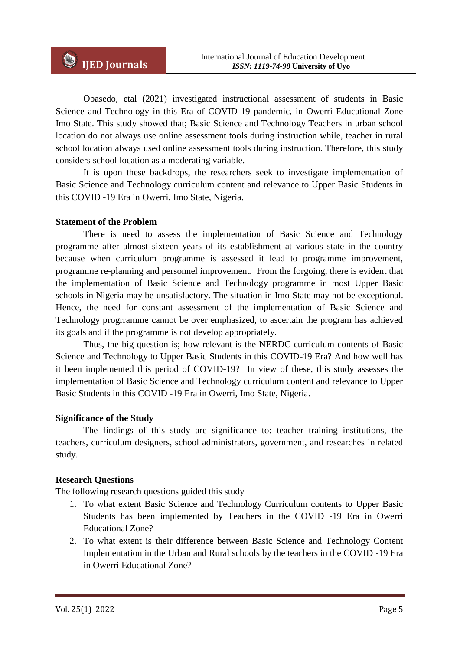Obasedo, etal (2021) investigated instructional assessment of students in Basic Science and Technology in this Era of COVID-19 pandemic, in Owerri Educational Zone Imo State. This study showed that; Basic Science and Technology Teachers in urban school location do not always use online assessment tools during instruction while, teacher in rural school location always used online assessment tools during instruction. Therefore, this study considers school location as a moderating variable.

It is upon these backdrops, the researchers seek to investigate implementation of Basic Science and Technology curriculum content and relevance to Upper Basic Students in this COVID -19 Era in Owerri, Imo State, Nigeria.

#### **Statement of the Problem**

There is need to assess the implementation of Basic Science and Technology programme after almost sixteen years of its establishment at various state in the country because when curriculum programme is assessed it lead to programme improvement, programme re-planning and personnel improvement. From the forgoing, there is evident that the implementation of Basic Science and Technology programme in most Upper Basic schools in Nigeria may be unsatisfactory. The situation in Imo State may not be exceptional. Hence, the need for constant assessment of the implementation of Basic Science and Technology progrramme cannot be over emphasized, to ascertain the program has achieved its goals and if the programme is not develop appropriately.

Thus, the big question is; how relevant is the NERDC curriculum contents of Basic Science and Technology to Upper Basic Students in this COVID-19 Era? And how well has it been implemented this period of COVID-19? In view of these, this study assesses the implementation of Basic Science and Technology curriculum content and relevance to Upper Basic Students in this COVID -19 Era in Owerri, Imo State, Nigeria.

#### **Significance of the Study**

The findings of this study are significance to: teacher training institutions, the teachers, curriculum designers, school administrators, government, and researches in related study.

#### **Research Questions**

The following research questions guided this study

- 1. To what extent Basic Science and Technology Curriculum contents to Upper Basic Students has been implemented by Teachers in the COVID -19 Era in Owerri Educational Zone?
- 2. To what extent is their difference between Basic Science and Technology Content Implementation in the Urban and Rural schools by the teachers in the COVID -19 Era in Owerri Educational Zone?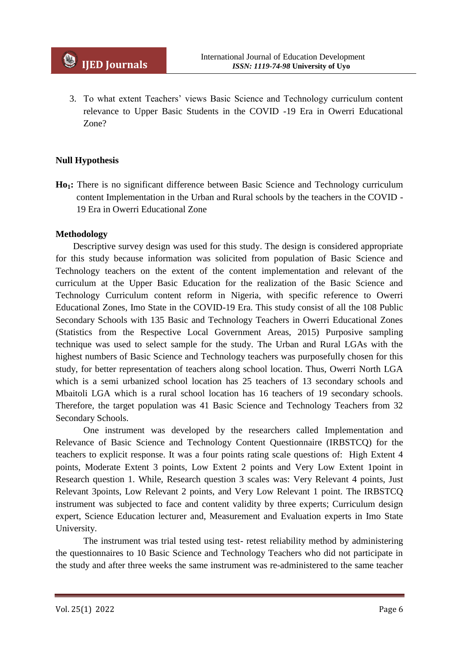3. To what extent Teachers' views Basic Science and Technology curriculum content relevance to Upper Basic Students in the COVID -19 Era in Owerri Educational Zone?

### **Null Hypothesis**

**Ho1:** There is no significant difference between Basic Science and Technology curriculum content Implementation in the Urban and Rural schools by the teachers in the COVID - 19 Era in Owerri Educational Zone

#### **Methodology**

Descriptive survey design was used for this study. The design is considered appropriate for this study because information was solicited from population of Basic Science and Technology teachers on the extent of the content implementation and relevant of the curriculum at the Upper Basic Education for the realization of the Basic Science and Technology Curriculum content reform in Nigeria, with specific reference to Owerri Educational Zones, Imo State in the COVID-19 Era. This study consist of all the 108 Public Secondary Schools with 135 Basic and Technology Teachers in Owerri Educational Zones (Statistics from the Respective Local Government Areas, 2015) Purposive sampling technique was used to select sample for the study. The Urban and Rural LGAs with the highest numbers of Basic Science and Technology teachers was purposefully chosen for this study, for better representation of teachers along school location. Thus, Owerri North LGA which is a semi urbanized school location has 25 teachers of 13 secondary schools and Mbaitoli LGA which is a rural school location has 16 teachers of 19 secondary schools. Therefore, the target population was 41 Basic Science and Technology Teachers from 32 Secondary Schools.

One instrument was developed by the researchers called Implementation and Relevance of Basic Science and Technology Content Questionnaire (IRBSTCQ) for the teachers to explicit response. It was a four points rating scale questions of: High Extent 4 points, Moderate Extent 3 points, Low Extent 2 points and Very Low Extent 1point in Research question 1. While, Research question 3 scales was: Very Relevant 4 points, Just Relevant 3points, Low Relevant 2 points, and Very Low Relevant 1 point. The IRBSTCQ instrument was subjected to face and content validity by three experts; Curriculum design expert, Science Education lecturer and, Measurement and Evaluation experts in Imo State University.

The instrument was trial tested using test- retest reliability method by administering the questionnaires to 10 Basic Science and Technology Teachers who did not participate in the study and after three weeks the same instrument was re-administered to the same teacher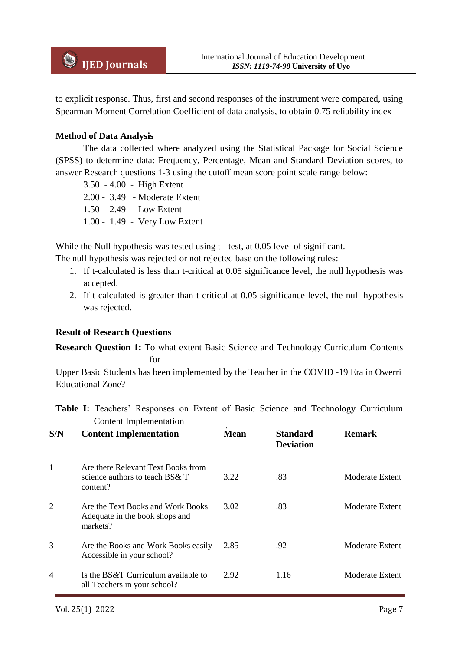to explicit response. Thus, first and second responses of the instrument were compared, using Spearman Moment Correlation Coefficient of data analysis, to obtain 0.75 reliability index

#### **Method of Data Analysis**

The data collected where analyzed using the Statistical Package for Social Science (SPSS) to determine data: Frequency, Percentage, Mean and Standard Deviation scores, to answer Research questions 1-3 using the cutoff mean score point scale range below:

3.50 - 4.00 - High Extent 2.00 - 3.49 - Moderate Extent 1.50 - 2.49 - Low Extent 1.00 - 1.49 - Very Low Extent

While the Null hypothesis was tested using t - test, at 0.05 level of significant.

The null hypothesis was rejected or not rejected base on the following rules:

- 1. If t-calculated is less than t-critical at 0.05 significance level, the null hypothesis was accepted.
- 2. If t-calculated is greater than t-critical at 0.05 significance level, the null hypothesis was rejected.

## **Result of Research Questions**

**Research Question 1:** To what extent Basic Science and Technology Curriculum Contents for

Upper Basic Students has been implemented by the Teacher in the COVID -19 Era in Owerri Educational Zone?

**Table I:** Teachers' Responses on Extent of Basic Science and Technology Curriculum Content Implementation

| S/N | <b>Content Implementation</b>                                                    | <b>Mean</b> | <b>Standard</b><br><b>Deviation</b> | <b>Remark</b>   |
|-----|----------------------------------------------------------------------------------|-------------|-------------------------------------|-----------------|
|     | Are there Relevant Text Books from<br>science authors to teach BS& T<br>content? | 3.22        | .83                                 | Moderate Extent |
| 2   | Are the Text Books and Work Books<br>Adequate in the book shops and<br>markets?  | 3.02        | .83                                 | Moderate Extent |
| 3   | Are the Books and Work Books easily<br>Accessible in your school?                | 2.85        | .92                                 | Moderate Extent |
| 4   | Is the BS&T Curriculum available to<br>all Teachers in your school?              | 2.92        | 1.16                                | Moderate Extent |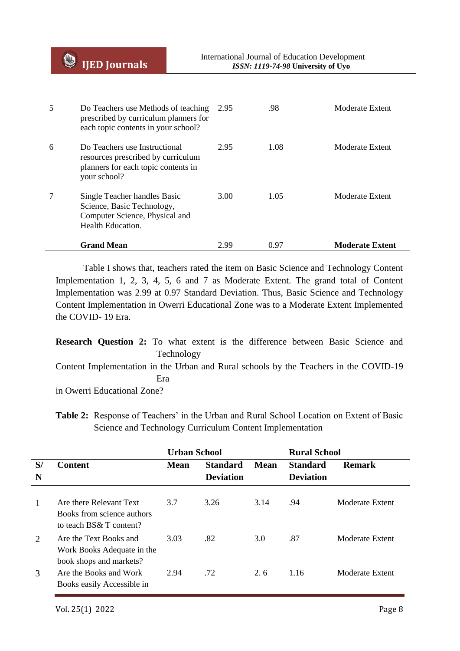| 5 | Do Teachers use Methods of teaching<br>prescribed by curriculum planners for<br>each topic contents in your school?        | 2.95 | .98  | Moderate Extent        |
|---|----------------------------------------------------------------------------------------------------------------------------|------|------|------------------------|
| 6 | Do Teachers use Instructional<br>resources prescribed by curriculum<br>planners for each topic contents in<br>your school? | 2.95 | 1.08 | Moderate Extent        |
| 7 | Single Teacher handles Basic<br>Science, Basic Technology,<br>Computer Science, Physical and<br><b>Health Education.</b>   | 3.00 | 1.05 | Moderate Extent        |
|   | <b>Grand Mean</b>                                                                                                          | 2.99 | 0.97 | <b>Moderate Extent</b> |

Table I shows that, teachers rated the item on Basic Science and Technology Content Implementation 1, 2, 3, 4, 5, 6 and 7 as Moderate Extent. The grand total of Content Implementation was 2.99 at 0.97 Standard Deviation. Thus, Basic Science and Technology Content Implementation in Owerri Educational Zone was to a Moderate Extent Implemented the COVID- 19 Era.

**Research Question 2:** To what extent is the difference between Basic Science and Technology

Content Implementation in the Urban and Rural schools by the Teachers in the COVID-19 Era

in Owerri Educational Zone?

**Table 2:** Response of Teachers' in the Urban and Rural School Location on Extent of Basic Science and Technology Curriculum Content Implementation

|         |                                                                                  | <b>Urban School</b> |                                     |             | <b>Rural School</b>                 |                 |
|---------|----------------------------------------------------------------------------------|---------------------|-------------------------------------|-------------|-------------------------------------|-----------------|
| S/<br>N | <b>Content</b>                                                                   | Mean                | <b>Standard</b><br><b>Deviation</b> | <b>Mean</b> | <b>Standard</b><br><b>Deviation</b> | <b>Remark</b>   |
| 1       | Are there Relevant Text<br>Books from science authors<br>to teach BS& T content? | 3.7                 | 3.26                                | 3.14        | .94                                 | Moderate Extent |
| 2       | Are the Text Books and<br>Work Books Adequate in the<br>book shops and markets?  | 3.03                | .82                                 | 3.0         | .87                                 | Moderate Extent |
| 3       | Are the Books and Work<br>Books easily Accessible in                             | 2.94                | .72                                 | 2.6         | 1.16                                | Moderate Extent |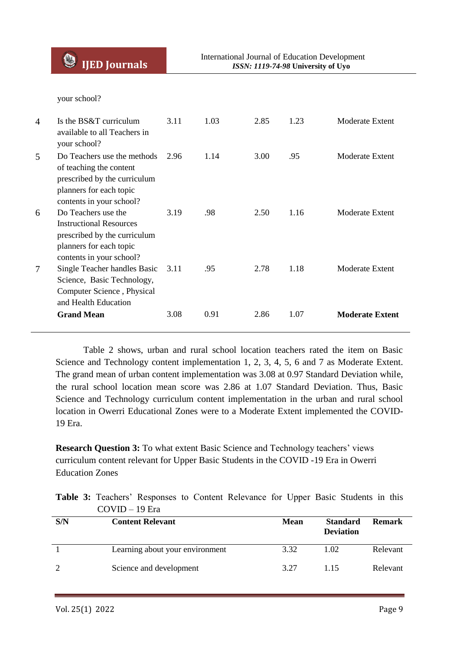**IJED Journals**

your school?

| $\overline{4}$ | Is the $BS&T$ curriculum<br>available to all Teachers in<br>your school?                                                                      | 3.11 | 1.03 | 2.85 | 1.23 | Moderate Extent        |
|----------------|-----------------------------------------------------------------------------------------------------------------------------------------------|------|------|------|------|------------------------|
| 5              | Do Teachers use the methods<br>of teaching the content<br>prescribed by the curriculum<br>planners for each topic<br>contents in your school? | 2.96 | 1.14 | 3.00 | .95  | Moderate Extent        |
| 6              | Do Teachers use the<br><b>Instructional Resources</b><br>prescribed by the curriculum<br>planners for each topic<br>contents in your school?  | 3.19 | .98  | 2.50 | 1.16 | Moderate Extent        |
| 7              | Single Teacher handles Basic<br>Science, Basic Technology,<br>Computer Science, Physical<br>and Health Education                              | 3.11 | .95  | 2.78 | 1.18 | Moderate Extent        |
|                | <b>Grand Mean</b>                                                                                                                             | 3.08 | 0.91 | 2.86 | 1.07 | <b>Moderate Extent</b> |

Table 2 shows, urban and rural school location teachers rated the item on Basic Science and Technology content implementation 1, 2, 3, 4, 5, 6 and 7 as Moderate Extent. The grand mean of urban content implementation was 3.08 at 0.97 Standard Deviation while, the rural school location mean score was 2.86 at 1.07 Standard Deviation. Thus, Basic Science and Technology curriculum content implementation in the urban and rural school location in Owerri Educational Zones were to a Moderate Extent implemented the COVID-19 Era.

**Research Question 3:** To what extent Basic Science and Technology teachers' views curriculum content relevant for Upper Basic Students in the COVID -19 Era in Owerri Education Zones

|  |                | <b>Table 3:</b> Teachers' Responses to Content Relevance for Upper Basic Students in this |  |  |  |  |  |
|--|----------------|-------------------------------------------------------------------------------------------|--|--|--|--|--|
|  | $COVID-19$ Era |                                                                                           |  |  |  |  |  |

| S/N | <b>Content Relevant</b>         | <b>Mean</b> | <b>Standard</b><br><b>Deviation</b> | <b>Remark</b> |
|-----|---------------------------------|-------------|-------------------------------------|---------------|
|     | Learning about your environment | 3.32        | 1.02                                | Relevant      |
|     | Science and development         | 3.27        | 1 15                                | Relevant      |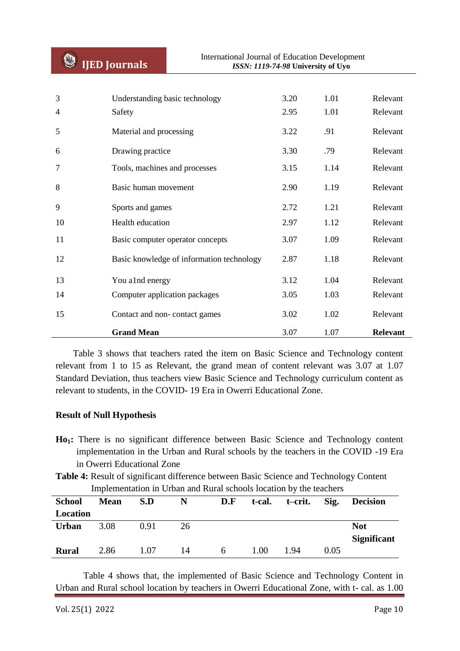| 3<br>4 | Understanding basic technology<br>Safety  | 3.20<br>2.95 | 1.01<br>1.01 | Relevant<br>Relevant |
|--------|-------------------------------------------|--------------|--------------|----------------------|
| 5      | Material and processing                   | 3.22         | .91          | Relevant             |
| 6      | Drawing practice                          | 3.30         | .79          | Relevant             |
| 7      | Tools, machines and processes             | 3.15         | 1.14         | Relevant             |
| 8      | Basic human movement                      | 2.90         | 1.19         | Relevant             |
| 9      | Sports and games                          | 2.72         | 1.21         | Relevant             |
| 10     | Health education                          | 2.97         | 1.12         | Relevant             |
| 11     | Basic computer operator concepts          | 3.07         | 1.09         | Relevant             |
| 12     | Basic knowledge of information technology | 2.87         | 1.18         | Relevant             |
| 13     | You alnd energy                           | 3.12         | 1.04         | Relevant             |
| 14     | Computer application packages             | 3.05         | 1.03         | Relevant             |
| 15     | Contact and non-contact games             | 3.02         | 1.02         | Relevant             |
|        | <b>Grand Mean</b>                         | 3.07         | 1.07         | <b>Relevant</b>      |

Table 3 shows that teachers rated the item on Basic Science and Technology content relevant from 1 to 15 as Relevant, the grand mean of content relevant was 3.07 at 1.07 Standard Deviation, thus teachers view Basic Science and Technology curriculum content as relevant to students, in the COVID- 19 Era in Owerri Educational Zone.

#### **Result of Null Hypothesis**

- **Ho1:** There is no significant difference between Basic Science and Technology content implementation in the Urban and Rural schools by the teachers in the COVID -19 Era in Owerri Educational Zone
- **Table 4:** Result of significant difference between Basic Science and Technology Content Implementation in Urban and Rural schools location by the teachers

| <b>School</b> | <b>Mean</b> | S.D  | N  | D.F | t-cal. | t–crit. | Sig. | <b>Decision</b>                  |
|---------------|-------------|------|----|-----|--------|---------|------|----------------------------------|
| Location      |             |      |    |     |        |         |      |                                  |
| <b>Urban</b>  | 3.08        | 0.91 | 26 |     |        |         |      | <b>Not</b><br><b>Significant</b> |
| <b>Rural</b>  | 2.86        | 1.07 | 14 | 6   | 1.00   | 1.94    | 0.05 |                                  |

Table 4 shows that, the implemented of Basic Science and Technology Content in Urban and Rural school location by teachers in Owerri Educational Zone, with t- cal. as 1.00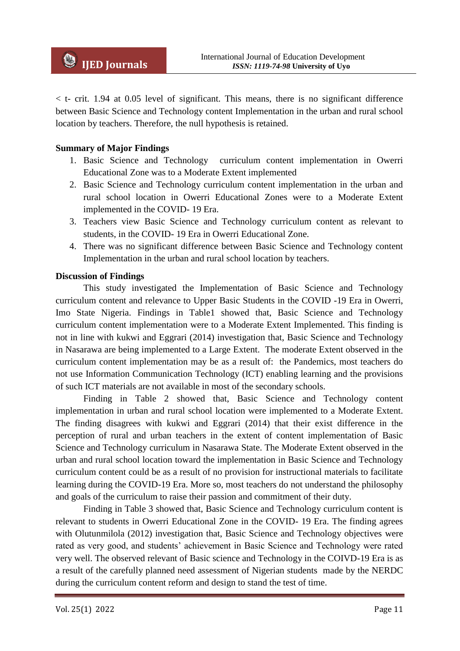$<$  t- crit. 1.94 at 0.05 level of significant. This means, there is no significant difference between Basic Science and Technology content Implementation in the urban and rural school location by teachers. Therefore, the null hypothesis is retained.

### **Summary of Major Findings**

- 1. Basic Science and Technology curriculum content implementation in Owerri Educational Zone was to a Moderate Extent implemented
- 2. Basic Science and Technology curriculum content implementation in the urban and rural school location in Owerri Educational Zones were to a Moderate Extent implemented in the COVID- 19 Era.
- 3. Teachers view Basic Science and Technology curriculum content as relevant to students, in the COVID- 19 Era in Owerri Educational Zone.
- 4. There was no significant difference between Basic Science and Technology content Implementation in the urban and rural school location by teachers.

#### **Discussion of Findings**

This study investigated the Implementation of Basic Science and Technology curriculum content and relevance to Upper Basic Students in the COVID -19 Era in Owerri, Imo State Nigeria. Findings in Table1 showed that, Basic Science and Technology curriculum content implementation were to a Moderate Extent Implemented. This finding is not in line with kukwi and Eggrari (2014) investigation that, Basic Science and Technology in Nasarawa are being implemented to a Large Extent. The moderate Extent observed in the curriculum content implementation may be as a result of: the Pandemics, most teachers do not use Information Communication Technology (ICT) enabling learning and the provisions of such ICT materials are not available in most of the secondary schools.

Finding in Table 2 showed that, Basic Science and Technology content implementation in urban and rural school location were implemented to a Moderate Extent. The finding disagrees with kukwi and Eggrari (2014) that their exist difference in the perception of rural and urban teachers in the extent of content implementation of Basic Science and Technology curriculum in Nasarawa State. The Moderate Extent observed in the urban and rural school location toward the implementation in Basic Science and Technology curriculum content could be as a result of no provision for instructional materials to facilitate learning during the COVID-19 Era. More so, most teachers do not understand the philosophy and goals of the curriculum to raise their passion and commitment of their duty.

Finding in Table 3 showed that, Basic Science and Technology curriculum content is relevant to students in Owerri Educational Zone in the COVID- 19 Era. The finding agrees with Olutunmilola (2012) investigation that, Basic Science and Technology objectives were rated as very good, and students' achievement in Basic Science and Technology were rated very well. The observed relevant of Basic science and Technology in the COIVD-19 Era is as a result of the carefully planned need assessment of Nigerian students made by the NERDC during the curriculum content reform and design to stand the test of time.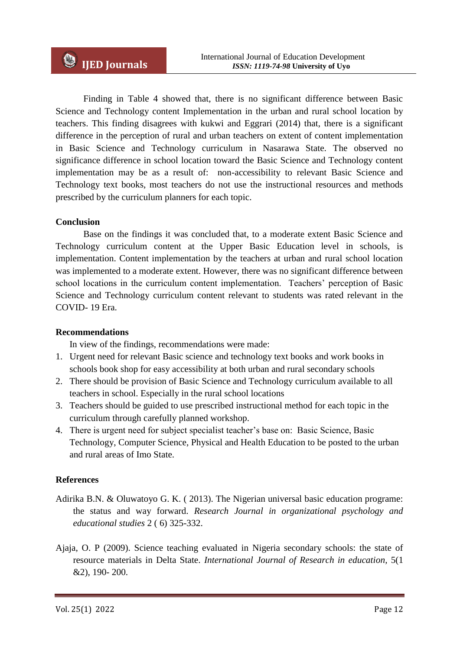Finding in Table 4 showed that, there is no significant difference between Basic Science and Technology content Implementation in the urban and rural school location by teachers. This finding disagrees with kukwi and Eggrari (2014) that, there is a significant difference in the perception of rural and urban teachers on extent of content implementation in Basic Science and Technology curriculum in Nasarawa State. The observed no significance difference in school location toward the Basic Science and Technology content implementation may be as a result of: non-accessibility to relevant Basic Science and Technology text books, most teachers do not use the instructional resources and methods prescribed by the curriculum planners for each topic.

#### **Conclusion**

Base on the findings it was concluded that, to a moderate extent Basic Science and Technology curriculum content at the Upper Basic Education level in schools, is implementation. Content implementation by the teachers at urban and rural school location was implemented to a moderate extent. However, there was no significant difference between school locations in the curriculum content implementation. Teachers' perception of Basic Science and Technology curriculum content relevant to students was rated relevant in the COVID- 19 Era.

#### **Recommendations**

In view of the findings, recommendations were made:

- 1. Urgent need for relevant Basic science and technology text books and work books in schools book shop for easy accessibility at both urban and rural secondary schools
- 2. There should be provision of Basic Science and Technology curriculum available to all teachers in school. Especially in the rural school locations
- 3. Teachers should be guided to use prescribed instructional method for each topic in the curriculum through carefully planned workshop.
- 4. There is urgent need for subject specialist teacher's base on: Basic Science, Basic Technology, Computer Science, Physical and Health Education to be posted to the urban and rural areas of Imo State.

#### **References**

- Adirika B.N. & Oluwatoyo G. K. ( 2013). The Nigerian universal basic education programe: the status and way forward. *Research Journal in organizational psychology and educational studies* 2 ( 6) 325-332.
- Ajaja, O. P (2009). Science teaching evaluated in Nigeria secondary schools: the state of resource materials in Delta State. *International Journal of Research in education,* 5(1 &2), 190- 200.